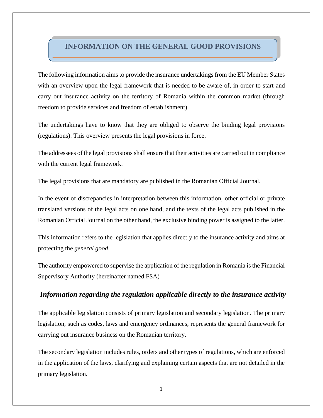## **INFORMATION ON THE GENERAL GOOD PROVISIONS**

The following information aims to provide the insurance undertakings from the EU Member States with an overview upon the legal framework that is needed to be aware of, in order to start and carry out insurance activity on the territory of Romania within the common market (through freedom to provide services and freedom of establishment).

The undertakings have to know that they are obliged to observe the binding legal provisions (regulations). This overview presents the legal provisions in force.

The addressees of the legal provisions shall ensure that their activities are carried out in compliance with the current legal framework.

The legal provisions that are mandatory are published in the Romanian Official Journal.

In the event of discrepancies in interpretation between this information, other official or private translated versions of the legal acts on one hand, and the texts of the legal acts published in the Romanian Official Journal on the other hand, the exclusive binding power is assigned to the latter.

This information refers to the legislation that applies directly to the insurance activity and aims at protecting the *general good*.

The authority empowered to supervise the application of the regulation in Romania is the Financial Supervisory Authority (hereinafter named FSA)

### *Information regarding the regulation applicable directly to the insurance activity*

The applicable legislation consists of primary legislation and secondary legislation. The primary legislation, such as codes, laws and emergency ordinances, represents the general framework for carrying out insurance business on the Romanian territory.

The secondary legislation includes rules, orders and other types of regulations, which are enforced in the application of the laws, clarifying and explaining certain aspects that are not detailed in the primary legislation.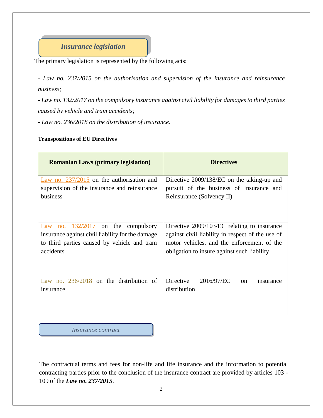# *Insurance legislation*

The primary legislation is represented by the following acts:

*- [Law no. 237/2015 on the authorisation and supervision of](http://asfromania.ro/en/legislation/sectorial-legislation/insurance-reinsurance-market/primary-legislation-csa/4739-law-no-237-2015) the insurance and [reinsurance](http://asfromania.ro/en/legislation/sectorial-legislation/insurance-reinsurance-market/primary-legislation-csa/4739-law-no-237-2015) business;*

*- Law no. 132/2017 on the compulsory insurance against civil liability for damages to third parties caused by vehicle and tram accidents;*

*- Law no. 236/2018 on the distribution of insurance.*

#### **Transpositions of EU Directives**

| <b>Romanian Laws (primary legislation)</b>                                                                                                                  | <b>Directives</b>                                                                                                                                                                            |
|-------------------------------------------------------------------------------------------------------------------------------------------------------------|----------------------------------------------------------------------------------------------------------------------------------------------------------------------------------------------|
| Law no. $237/2015$ on the authorisation and<br>supervision of the insurance and reinsurance<br>business                                                     | Directive 2009/138/EC on the taking-up and<br>pursuit of the business of Insurance and<br>Reinsurance (Solvency II)                                                                          |
| no. 132/2017<br>on the<br>compulsory<br>Law<br>insurance against civil liability for the damage<br>to third parties caused by vehicle and tram<br>accidents | Directive 2009/103/EC relating to insurance<br>against civil liability in respect of the use of<br>motor vehicles, and the enforcement of the<br>obligation to insure against such liability |
| Law no. $236/2018$ on the distribution of<br>insurance                                                                                                      | <b>Directive</b><br>2016/97/EC<br>$\alpha$<br>insurance<br>distribution                                                                                                                      |

*Insurance contract*

The contractual terms and fees for non-life and life insurance and the information to potential contracting parties prior to the conclusion of the insurance contract are provided by articles 103 - 109 of the *Law no. 237/2015*.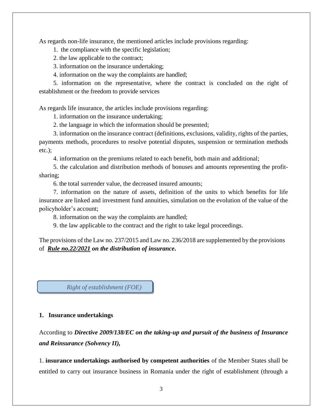As regards non-life insurance, the mentioned articles include provisions regarding:

1. the compliance with the specific legislation;

2. the law applicable to the contract;

3. information on the insurance undertaking;

4. information on the way the complaints are handled;

5. information on the representative, where the contract is concluded on the right of establishment or the freedom to provide services

As regards life insurance, the articles include provisions regarding:

1. information on the insurance undertaking;

2. the language in which the information should be presented;

3. information on the insurance contract (definitions, exclusions, validity, rights of the parties, payments methods, procedures to resolve potential disputes, suspension or termination methods etc.);

4. information on the premiums related to each benefit, both main and additional;

5. the calculation and distribution methods of bonuses and amounts representing the profitsharing;

6. the total surrender value, the decreased insured amounts;

7. information on the nature of assets, definition of the units to which benefits for life insurance are linked and investment fund annuities, simulation on the evolution of the value of the policyholder's account;

8. information on the way the complaints are handled;

9. the law applicable to the contract and the right to take legal proceedings.

The provisions of the Law no. 237/2015 and Law no. 236/2018 are supplemented by the provisions of *[Rule no.22/2021](https://asfromania.ro/files/Asigurari/norme/2019/Norma%2019_2018%20%20%20_MoF.pdf) on the distribution of insurance***.**

*Right of establishment (FOE)*

#### **1. Insurance undertakings**

According to *Directive 2009/138/EC on the taking-up and pursuit of the business of Insurance and Reinsurance (Solvency II),*

1. **insurance undertakings authorised by competent authorities** of the Member States shall be entitled to carry out insurance business in Romania under the right of establishment (through a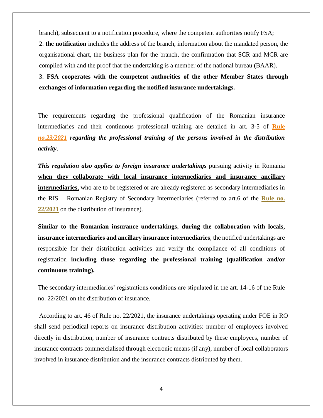branch), subsequent to a notification procedure, where the competent authorities notify FSA;

2. **the notification** includes the address of the branch, information about the mandated person, the organisational chart, the business plan for the branch, the confirmation that SCR and MCR are complied with and the proof that the undertaking is a member of the national bureau (BAAR).

3. **FSA cooperates with the competent authorities of the other Member States through exchanges of information regarding the notified insurance undertakings.** 

The requirements regarding the professional qualification of the Romanian insurance intermediaries and their continuous professional training are detailed in art. 3-5 of **[Rule](https://www.asfromania.ro/uploads/articole/attachments/6214ee4a61bb9947467698.pdf)** *[no.23/2021](https://www.asfromania.ro/uploads/articole/attachments/6214ee4a61bb9947467698.pdf) regarding the professional training of the persons involved in the distribution activity*.

*This regulation also applies to foreign insurance undertakings* pursuing activity in Romania **when they collaborate with local insurance intermediaries and insurance ancillary intermediaries,** who are to be registered or are already registered as secondary intermediaries in the RIS – Romanian Registry of Secondary Intermediaries (referred to art.6 of the **[Rule no.](https://www.asfromania.ro/uploads/articole/attachments/621501179a40c016654046.pdf)  [22/2021](https://www.asfromania.ro/uploads/articole/attachments/621501179a40c016654046.pdf)** on the distribution of insurance).

**Similar to the Romanian insurance undertakings, during the collaboration with locals, insurance intermediaries and ancillary insurance intermediaries**, the notified undertakings are responsible for their distribution activities and verify the compliance of all conditions of registration **including those regarding the professional training (qualification and/or continuous training).**

The secondary intermediaries' registrations conditions are stipulated in the art. 14-16 of the Rule no. 22/2021 on the distribution of insurance.

 According to art. 46 of Rule no. 22/2021, the insurance undertakings operating under FOE in RO shall send periodical reports on insurance distribution activities: number of employees involved directly in distribution, number of insurance contracts distributed by these employees, number of insurance contracts commercialised through electronic means (if any), number of local collaborators involved in insurance distribution and the insurance contracts distributed by them.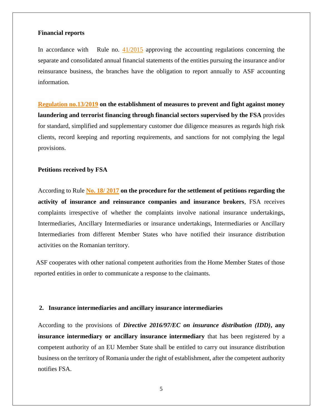#### **Financial reports**

In accordance with Rule no.  $41/2015$  approving the accounting regulations concerning the separate and consolidated annual financial statements of the entities pursuing the insurance and/or reinsurance business, the branches have the obligation to report annually to ASF accounting information.

**[Regulation no.13/2019](https://www.asfromania.ro/uploads/articole/attachments/611e70f051df8901531527.pdf) on the establishment of measures to prevent and fight against money laundering and terrorist financing through financial sectors supervised by the FSA** provides for standard, simplified and supplementary customer due diligence measures as regards high risk clients, record keeping and reporting requirements, and sanctions for not complying the legal provisions.

#### **Petitions received by FSA**

According to Rule **[No. 18/ 2017](https://asfromania.ro/files/ENGLEZA/legislation/insurance/Norma%2018_2017%20-solutionare%20a%20petitii_EN.pdf) on the procedure for the settlement of petitions regarding the activity of insurance and reinsurance companies and insurance brokers**, FSA receives complaints irrespective of whether the complaints involve national insurance undertakings, Intermediaries, Ancillary Intermediaries or insurance undertakings, Intermediaries or Ancillary Intermediaries from different Member States who have notified their insurance distribution activities on the Romanian territory.

ASF cooperates with other national competent authorities from the Home Member States of those reported entities in order to communicate a response to the claimants.

#### **2. Insurance intermediaries and ancillary insurance intermediaries**

According to the provisions of *Directive 2016/97/EC on insurance distribution (IDD)***, any insurance intermediary or ancillary insurance intermediary** that has been registered by a competent authority of an EU Member State shall be entitled to carry out insurance distribution business on the territory of Romania under the right of establishment, after the competent authority notifies FSA.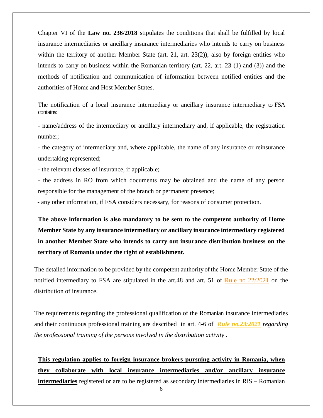Chapter VI of the **Law no. 236/2018** stipulates the conditions that shall be fulfilled by local insurance intermediaries or ancillary insurance intermediaries who intends to carry on business within the territory of another Member State (art. 21, art. 23(2)), also by foreign entities who intends to carry on business within the Romanian territory (art. 22, art. 23 (1) and (3)) and the methods of notification and communication of information between notified entities and the authorities of Home and Host Member States.

The notification of a local insurance intermediary or ancillary insurance intermediary to FSA contains:

- name/address of the intermediary or ancillary intermediary and, if applicable, the registration number;

- the category of intermediary and, where applicable, the name of any insurance or reinsurance undertaking represented;

- the relevant classes of insurance, if applicable;

- the address in RO from which documents may be obtained and the name of any person responsible for the management of the branch or permanent presence;

- any other information, if FSA considers necessary, for reasons of consumer protection.

**The above information is also mandatory to be sent to the competent authority of Home Member State by any insurance intermediary or ancillary insurance intermediary registered in another Member State who intends to carry out insurance distribution business on the territory of Romania under the right of establishment.**

The detailed information to be provided by the competent authority of the Home Member State of the notified intermediary to FSA are stipulated in the art.48 and art. 51 of Rule [no 22/2021](https://www.asfromania.ro/uploads/articole/attachments/621501179a40c016654046.pdf) on the distribution of insurance.

The requirements regarding the professional qualification of the Romanian insurance intermediaries and their continuous professional training are described in art. 4-6 of *[Rule no.23/2021](https://www.asfromania.ro/uploads/articole/attachments/6214ee4a61bb9947467698.pdf) regarding the professional training of the persons involved in the distribution activity* .

**This regulation applies to foreign insurance brokers pursuing activity in Romania, when they collaborate with local insurance intermediaries and/or ancillary insurance intermediaries** registered or are to be registered as secondary intermediaries in RIS – Romanian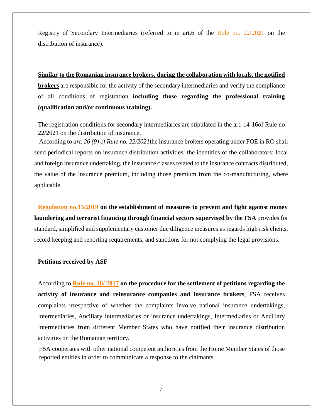Registry of Secondary Intermediaries (referred to in art.6 of the [Rule no. 22/2021](https://www.asfromania.ro/uploads/articole/attachments/6214ee4a61bb9947467698.pdf) on the distribution of insurance).

**Similar to the Romanian insurance brokers, during the collaboration with locals, the notified brokers** are responsible for the activity of the secondary intermediaries and verify the compliance of all conditions of registration **including those regarding the professional training (qualification and/or continuous training).**

The registration conditions for secondary intermediaries are stipulated in the art. 14-16of Rule no 22/2021 on the distribution of insurance.

 According to *art. 26 (9) of Rule no. 22/2021*the insurance brokers operating under FOE in RO shall send periodical reports on insurance distribution activities: the identities of the collaborators: local and foreign insurance undertaking, the insurance classes related to the insurance contracts distributed, the value of the insurance premium, including those premium from the co-manufacturing, where applicable.

**[Regulation no.13/2019](https://www.asfromania.ro/uploads/articole/attachments/611e70f051df8901531527.pdf) on the establishment of measures to prevent and fight against money laundering and terrorist financing through financial sectors supervised by the FSA** provides for standard, simplified and supplementary customer due diligence measures as regards high risk clients, record keeping and reporting requirements, and sanctions for not complying the legal provisions.

#### **Petitions received by ASF**

According to **Rule [no. 18/ 2017](https://asfromania.ro/files/ENGLEZA/legislation/insurance/Norma%2018_2017%20-solutionare%20a%20petitii_EN.pdf) on the procedure for the settlement of petitions regarding the activity of insurance and reinsurance companies and insurance brokers**, FSA receives complaints irrespective of whether the complaints involve national insurance undertakings, Intermediaries, Ancillary Intermediaries or insurance undertakings, Intermediaries or Ancillary Intermediaries from different Member States who have notified their insurance distribution activities on the Romanian territory.

 FSA cooperates with other national competent authorities from the Home Member States of those reported entities in order to communicate a response to the claimants.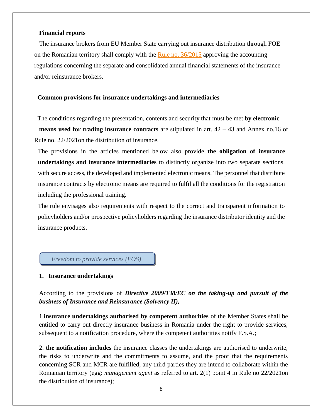#### **Financial reports**

 The insurance brokers from EU Member State carrying out insurance distribution through FOE on the Romanian territory shall comply with the Rule [no. 36/2015](https://asfromania.ro/uploads/articole/attachments/6076effe5c2cb896939429.pdf) approving the accounting regulations concerning the separate and consolidated annual financial statements of the insurance and/or reinsurance brokers.

#### **Common provisions for insurance undertakings and intermediaries**

 The conditions regarding the presentation, contents and security that must be met **by electronic means used for trading insurance contracts** are stipulated in art. 42 – 43 and Annex no.16 of Rule no. 22/2021on the distribution of insurance.

The provisions in the articles mentioned below also provide **the obligation of insurance undertakings and insurance intermediaries** to distinctly organize into two separate sections, with secure access, the developed and implemented electronic means. The personnel that distribute insurance contracts by electronic means are required to fulfil all the conditions for the registration including the professional training.

The rule envisages also requirements with respect to the correct and transparent information to policyholders and/or prospective policyholders regarding the insurance distributor identity and the insurance products.

### *Freedom to provide services (FOS)*

#### **1. Insurance undertakings**

According to the provisions of *Directive 2009/138/EC on the taking-up and pursuit of the business of Insurance and Reinsurance (Solvency II),*

1.**insurance undertakings authorised by competent authorities** of the Member States shall be entitled to carry out directly insurance business in Romania under the right to provide services, subsequent to a notification procedure, where the competent authorities notify F.S.A.;

2. **the notification includes** the insurance classes the undertakings are authorised to underwrite, the risks to underwrite and the commitments to assume, and the proof that the requirements concerning SCR and MCR are fulfilled, any third parties they are intend to collaborate within the Romanian territory (egg: *management agent* as referred to art. 2(1) point 4 in Rule no 22/2021on the distribution of insurance);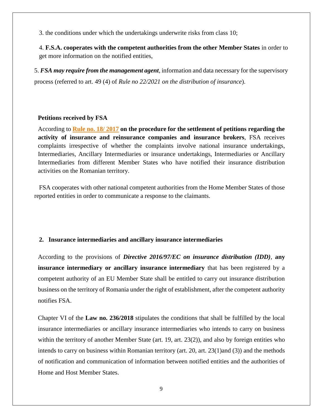3. the conditions under which the undertakings underwrite risks from class 10;

4. **F.S.A. cooperates with the competent authorities from the other Member States** in order to get more information on the notified entities,

5. *FSA may require from the management agent*, information and data necessary for the supervisory process (referred to art. 49 (4) of *Rule no 22/2021 on the distribution of insurance*).

#### **Petitions received by FSA**

According to **Rule [no. 18/ 2017](https://asfromania.ro/uploads/articole/attachments/6123837310110715630737.pdf) on the procedure for the settlement of petitions regarding the activity of insurance and reinsurance companies and insurance brokers**, FSA receives complaints irrespective of whether the complaints involve national insurance undertakings, Intermediaries, Ancillary Intermediaries or insurance undertakings, Intermediaries or Ancillary Intermediaries from different Member States who have notified their insurance distribution activities on the Romanian territory.

 FSA cooperates with other national competent authorities from the Home Member States of those reported entities in order to communicate a response to the claimants.

## **2. Insurance intermediaries and ancillary insurance intermediaries**

According to the provisions of *Directive 2016/97/EC on insurance distribution (IDD)*, **any insurance intermediary or ancillary insurance intermediary** that has been registered by a competent authority of an EU Member State shall be entitled to carry out insurance distribution business on the territory of Romania under the right of establishment, after the competent authority notifies FSA.

Chapter VI of the **Law no. 236/2018** stipulates the conditions that shall be fulfilled by the local insurance intermediaries or ancillary insurance intermediaries who intends to carry on business within the territory of another Member State (art. 19, art. 23(2)), and also by foreign entities who intends to carry on business within Romanian territory (art. 20, art. 23(1)and (3)) and the methods of notification and communication of information between notified entities and the authorities of Home and Host Member States.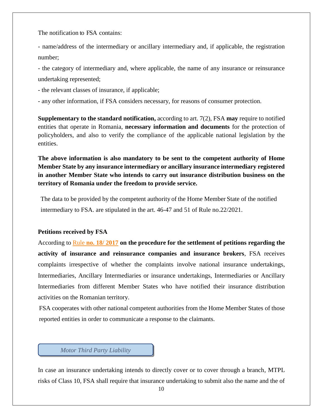The notification to FSA contains:

- name/address of the intermediary or ancillary intermediary and, if applicable, the registration number;

- the category of intermediary and, where applicable, the name of any insurance or reinsurance undertaking represented;

- the relevant classes of insurance, if applicable;

- any other information, if FSA considers necessary, for reasons of consumer protection.

**Supplementary to the standard notification,** according to art. 7(2), FSA **may** require to notified entities that operate in Romania, **necessary information and documents** for the protection of policyholders, and also to verify the compliance of the applicable national legislation by the entities.

**The above information is also mandatory to be sent to the competent authority of Home Member State by any insurance intermediary or ancillary insurance intermediary registered in another Member State who intends to carry out insurance distribution business on the territory of Romania under the freedom to provide service.**

 The data to be provided by the competent authority of the Home Member State of the notified intermediary to FSA. are stipulated in the art. 46-47 and 51 of Rule no.22/2021.

#### **Petitions received by FSA**

According to Rule **[no. 18/ 2017](https://asfromania.ro/uploads/articole/attachments/6123837310110715630737.pdf) on the procedure for the settlement of petitions regarding the activity of insurance and reinsurance companies and insurance brokers**, FSA receives complaints irrespective of whether the complaints involve national insurance undertakings, Intermediaries, Ancillary Intermediaries or insurance undertakings, Intermediaries or Ancillary Intermediaries from different Member States who have notified their insurance distribution activities on the Romanian territory.

 FSA cooperates with other national competent authorities from the Home Member States of those reported entities in order to communicate a response to the claimants.

*Motor Third Party Liability*

In case an insurance undertaking intends to directly cover or to cover through a branch, MTPL risks of Class 10, FSA shall require that insurance undertaking to submit also the name and the of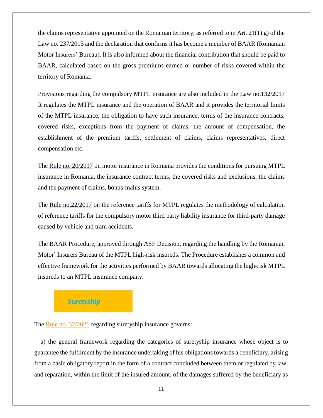the claims representative appointed on the Romanian territory, as referred to in Art. 21(1) g) of the Law no. 237/2015 and the declaration that confirms it has become a member of BAAR (Romanian Motor Insurers' Bureau). It is also informed about the financial contribution that should be paid to BAAR, calculated based on the gross premiums earned or number of risks covered within the territory of Romania.

Provisions regarding the compulsory MTPL insurance are also included in the [Law no.132/2017](https://asfromania.ro/en/legislation/sectorial-legislation/insurance-reinsurance-market/primary-legislation-csa/5921-law-no-132-2017) It regulates the MTPL insurance and the operation of BAAR and it provides the territorial limits of the MTPL insurance, the obligation to have such insurance, terms of the insurance contracts, covered risks, exceptions from the payment of claims, the amount of compensation, the establishment of the premium tariffs, settlement of claims, claims representatives, direct compensation etc.

The Rule no. [20/2017](https://asfromania.ro/en/legislation/sectorial-legislation/insurance-reinsurance-market/secondary-legislation-csa/rules-csa/6014-rule-no-20-2017-on-motor-vehicle-insurance-in-romania) on motor insurance in Romania provides the conditions for pursuing MTPL insurance in Romania, the insurance contract terms, the covered risks and exclusions, the claims and the payment of claims, bonus-malus system.

The [Rule no.22/2017](https://asfromania.ro/en/legislation/sectorial-legislation/insurance-reinsurance-market/secondary-legislation-csa/rules-csa/6040-rule-no-22-2017-on-the-methodology-of-calculation-by-the-asf-of-reference-tariffs-for-the-compulsory-motor-third-party-liability-insurance-for-third-party-damage-caused-by-vehicle-and-tramway-accidents) on the reference tariffs for MTPL regulates the methodology of calculation of reference tariffs for the compulsory motor third party liability insurance for third-party damage caused by vehicle and tram accidents.

The BAAR Procedure, approved through ASF Decision, regarding the handling by the Romanian Motor` Insurers Bureau of the MTPL high-risk insureds. The Procedure establishes a common and effective framework for the activities performed by BAAR towards allocating the high-risk MTPL insureds to an MTPL insurance company.

## *Suretyship*

The [Rule no. 32/2021](https://www.asfromania.ro/uploads/articole/attachments/61c305d224afd690281257.pdf) regarding suretyship insurance governs:

 a) the general framework regarding the categories of suretyship insurance whose object is to guarantee the fulfilment by the insurance undertaking of his obligations towards a beneficiary, arising from a basic obligatory report in the form of a contract concluded between them or regulated by law, and reparation, within the limit of the insured amount, of the damages suffered by the beneficiary as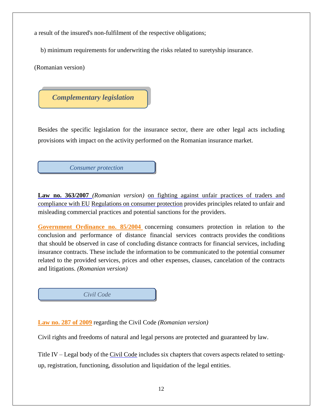a result of the insured's non-fulfilment of the respective obligations;

b) minimum requirements for underwriting the risks related to suretyship insurance.

(Romanian version)

*Complementary legislation*

Besides the specific legislation for the insurance sector, there are other legal acts including provisions with impact on the activity performed on the Romanian insurance market.

*Consumer protection*

**Law no. 363/2007** *(Romanian version)* on fighting against [unfair practices of traders and](http://www.anpc.gov.ro/anpcftp/anpc_junior/legea_363_2007.pdf)  [compliance with EU](http://www.anpc.gov.ro/anpcftp/anpc_junior/legea_363_2007.pdf) [Regulations on consumer protection](http://www.anpc.gov.ro/anpcftp/anpc_junior/legea_363_2007.pdf) provides principles related to unfair and misleading commercial practices and potential sanctions for the providers.

[Government Ordinance no. 85/2004](http://www.cdep.ro/pls/legis/legis_pck.htp_act?ida=51733) concerning consumers protection in relation to the conclusion and performance of distance financial services contracts provides the conditions that should be observed in case of concluding distance contracts for financial services, including insurance contracts. These include the information to be communicated to the potential consumer related to the provided services, prices and other expenses, clauses, cancelation of the contracts and litigations. *(Romanian version)*



**[Law no. 287 of 2009](http://www.cdep.ro/pls/legis/legis_pck.htp_act?ida=90254)** regarding the Civil Code *(Romanian version)*

Civil rights and freedoms of natural and legal persons are protected and guaranteed by law.

Title IV – Legal body of the [Civil Code](http://legislatie.just.ro/Public/DetaliiDocument/175630) includes six chapters that covers aspects related to settingup, registration, functioning, dissolution and liquidation of the legal entities.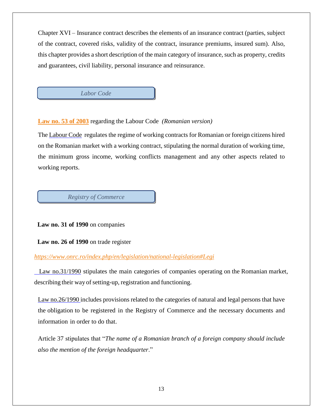Chapter XVI – Insurance contract describes the elements of an insurance contract (parties, subject of the contract, covered risks, validity of the contract, insurance premiums, insured sum). Also, this chapter provides a short description of the main category of insurance, such as property, credits and guarantees, civil liability, personal insurance and reinsurance.

*Labor Code*

## **[Law no. 53 of 2003](http://www.mmuncii.ro/j33/images/Documente/Legislatie/2018/2018-04-13_legea-53din2003-republicata-Codul_Muncii.pdf)** regarding the Labour Code *(Romanian version)*

The [Labour Code](http://www.mmuncii.ro/pub/imagemanager/images/file/Legislatie/LEGI/LEGE_53-2003R.pdf) regulates the regime of working contracts for Romanian or foreign citizens hired on the Romanian market with a working contract, stipulating the normal duration of working time, the minimum gross income, working conflicts management and any other aspects related to working reports.

*Registry of Commerce*

 **Law no. 31 of 1990** on companies

 **Law no. 26 of 1990** on trade register

## *<https://www.onrc.ro/index.php/en/legislation/national-legislation#Legi>*

 [Law no.31/1990](http://www.onrc.ro/index.php/ro/legislatie) stipulates the main categories of companies operating on the Romanian market, describing their way of setting-up, registration and functioning.

[Law no.26/1990 i](http://www.onrc.ro/index.php/ro/legislatie)ncludes provisions related to the categories of natural and legal persons that have the obligation to be registered in the Registry of Commerce and the necessary documents and information in order to do that.

Article 37 stipulates that "*The name of a Romanian branch of a foreign company should include also the mention of the foreign headquarter*."